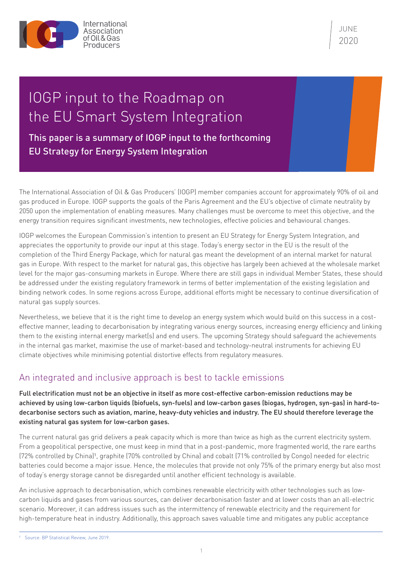

JUNE 2020

# IOGP input to the Roadmap on the EU Smart System Integration

This paper is a summary of IOGP input to the forthcoming EU Strategy for Energy System Integration

The International Association of Oil & Gas Producers' (IOGP) member companies account for approximately 90% of oil and gas produced in Europe. IOGP supports the goals of the Paris Agreement and the EU's objective of climate neutrality by 2050 upon the implementation of enabling measures. Many challenges must be overcome to meet this objective, and the energy transition requires significant investments, new technologies, effective policies and behavioural changes.

IOGP welcomes the European Commission's intention to present an EU Strategy for Energy System Integration, and appreciates the opportunity to provide our input at this stage. Today's energy sector in the EU is the result of the completion of the Third Energy Package, which for natural gas meant the development of an internal market for natural gas in Europe. With respect to the market for natural gas, this objective has largely been achieved at the wholesale market level for the major gas-consuming markets in Europe. Where there are still gaps in individual Member States, these should be addressed under the existing regulatory framework in terms of better implementation of the existing legislation and binding network codes. In some regions across Europe, additional efforts might be necessary to continue diversification of natural gas supply sources.

Nevertheless, we believe that it is the right time to develop an energy system which would build on this success in a costeffective manner, leading to decarbonisation by integrating various energy sources, increasing energy efficiency and linking them to the existing internal energy market(s) and end users. The upcoming Strategy should safeguard the achievements in the internal gas market, maximise the use of market-based and technology-neutral instruments for achieving EU climate objectives while minimising potential distortive effects from regulatory measures.

# An integrated and inclusive approach is best to tackle emissions

Full electrification must not be an objective in itself as more cost-effective carbon-emission reductions may be achieved by using low-carbon liquids (biofuels, syn-fuels) and low-carbon gases (biogas, hydrogen, syn-gas) in hard-todecarbonise sectors such as aviation, marine, heavy-duty vehicles and industry. The EU should therefore leverage the existing natural gas system for low-carbon gases.

The current natural gas grid delivers a peak capacity which is more than twice as high as the current electricity system. From a geopolitical perspective, one must keep in mind that in a post-pandemic, more fragmented world, the rare earths (72% controlled by China)1, graphite (70% controlled by China) and cobalt (71% controlled by Congo) needed for electric batteries could become a major issue. Hence, the molecules that provide not only 75% of the primary energy but also most of today's energy storage cannot be disregarded until another efficient technology is available.

An inclusive approach to decarbonisation, which combines renewable electricity with other technologies such as lowcarbon liquids and gases from various sources, can deliver decarbonisation faster and at lower costs than an all-electric scenario. Moreover, it can address issues such as the intermittency of renewable electricity and the requirement for high-temperature heat in industry. Additionally, this approach saves valuable time and mitigates any public acceptance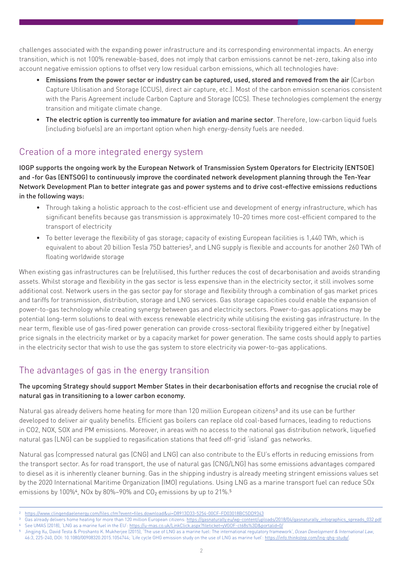challenges associated with the expanding power infrastructure and its corresponding environmental impacts. An energy transition, which is not 100% renewable-based, does not imply that carbon emissions cannot be net-zero, taking also into account negative emission options to offset very low residual carbon emissions, which all technologies have:

- Emissions from the power sector or industry can be captured, used, stored and removed from the air (Carbon Capture Utilisation and Storage (CCUS), direct air capture, etc.). Most of the carbon emission scenarios consistent with the Paris Agreement include Carbon Capture and Storage (CCS). These technologies complement the energy transition and mitigate climate change.
- The electric option is currently too immature for aviation and marine sector. Therefore, low-carbon liquid fuels (including biofuels) are an important option when high energy-density fuels are needed.

#### Creation of a more integrated energy system

IOGP supports the ongoing work by the European Network of Transmission System Operators for Electricity (ENTSOE) and -for Gas (ENTSOG) to continuously improve the coordinated network development planning through the Ten-Year Network Development Plan to better integrate gas and power systems and to drive cost-effective emissions reductions in the following ways:

- Through taking a holistic approach to the cost-efficient use and development of energy infrastructure, which has significant benefits because gas transmission is approximately 10–20 times more cost-efficient compared to the transport of electricity
- To better leverage the flexibility of gas storage; capacity of existing European facilities is 1,440 TWh, which is equivalent to about 20 billion Tesla 75D batteries<sup>2</sup>, and LNG supply is flexible and accounts for another 260 TWh of floating worldwide storage

When existing gas infrastructures can be (re)utilised, this further reduces the cost of decarbonisation and avoids stranding assets. Whilst storage and flexibility in the gas sector is less expensive than in the electricity sector, it still involves some additional cost. Network users in the gas sector pay for storage and flexibility through a combination of gas market prices and tariffs for transmission, distribution, storage and LNG services. Gas storage capacities could enable the expansion of power-to-gas technology while creating synergy between gas and electricity sectors. Power-to-gas applications may be potential long-term solutions to deal with excess renewable electricity while utilising the existing gas infrastructure. In the near term, flexible use of gas-fired power generation can provide cross-sectoral flexibility triggered either by (negative) price signals in the electricity market or by a capacity market for power generation. The same costs should apply to parties in the electricity sector that wish to use the gas system to store electricity via power-to-gas applications.

# The advantages of gas in the energy transition

#### The upcoming Strategy should support Member States in their decarbonisation efforts and recognise the crucial role of natural gas in transitioning to a lower carbon economy.

Natural gas already delivers home heating for more than 120 million European citizens<sup>3</sup> and its use can be further developed to deliver air quality benefits. Efficient gas boilers can replace old coal-based furnaces, leading to reductions in CO2, NOX, SOX and PM emissions. Moreover, in areas with no access to the national gas distribution network, liquefied natural gas (LNG) can be supplied to regasification stations that feed off-grid 'island' gas networks.

Natural gas (compressed natural gas (CNG) and LNG) can also contribute to the EU's efforts in reducing emissions from the transport sector. As for road transport, the use of natural gas (CNG/LNG) has some emissions advantages compared to diesel as it is inherently cleaner burning. Gas in the shipping industry is already meeting stringent emissions values set by the 2020 International Maritime Organization (IMO) regulations. Using LNG as a marine transport fuel can reduce SOx emissions by 100% $4$ , NOx by 80%–90% and CO<sub>2</sub> emissions by up to 21%.<sup>5</sup>

<sup>2</sup> <https://www.clingendaelenergy.com/files.cfm?event=files.download&ui=D8913D33-5254-00CF-FD03018BC5DD9343>

Gas already delivers home heating for more than 120 million European citizens: [https://gasnaturally.eu/wp-content/uploads/2018/04/gasnaturally\\_infographics\\_spreads\\_032.pdf](https://gasnaturally.eu/wp-content/uploads/2018/04/gasnaturally_infographics_spreads_032.pdf) See UMAS (2018), 'LNG as a marine fuel in the EU': <https://u-mas.co.uk/LinkClick.aspx?fileticket=yVGOF-ct68s%3D&portalid=0/>

<sup>5</sup> Jingjing Xu, David Testa & Proshanto K. Mukherjee (2015), 'The use of LNG as a marine fuel: The international regulatory framework', *Ocean Development & International Law*, 46:3, 225-240, DOI: 10.1080/00908320.2015.1054744; 'Life cycle GHG emission study on the use of LNG as marine fuel':<https://info.thinkstep.com/lng-ghg-study/>.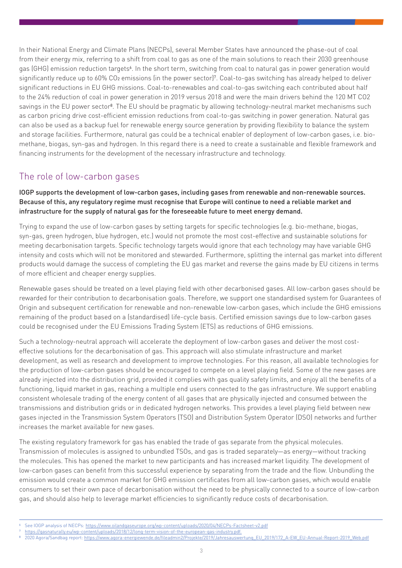In their National Energy and Climate Plans (NECPs), several Member States have announced the phase-out of coal from their energy mix, referring to a shift from coal to gas as one of the main solutions to reach their 2030 greenhouse gas (GHG) emission reduction targets<sup>6</sup>. In the short term, switching from coal to natural gas in power generation would significantly reduce up to 60% CO<sub>2</sub> emissions (in the power sector)<sup>7</sup>. Coal-to-gas switching has already helped to deliver significant reductions in EU GHG missions. Coal-to-renewables and coal-to-gas switching each contributed about half to the 24% reduction of coal in power generation in 2019 versus 2018 and were the main drivers behind the 120 MT CO2 savings in the EU power sector<sup>8</sup>. The EU should be pragmatic by allowing technology-neutral market mechanisms such as carbon pricing drive cost-efficient emission reductions from coal-to-gas switching in power generation. Natural gas can also be used as a backup fuel for renewable energy source generation by providing flexibility to balance the system and storage facilities. Furthermore, natural gas could be a technical enabler of deployment of low-carbon gases, i.e. biomethane, biogas, syn-gas and hydrogen. In this regard there is a need to create a sustainable and flexible framework and financing instruments for the development of the necessary infrastructure and technology.

### The role of low-carbon gases

IOGP supports the development of low-carbon gases, including gases from renewable and non-renewable sources. Because of this, any regulatory regime must recognise that Europe will continue to need a reliable market and infrastructure for the supply of natural gas for the foreseeable future to meet energy demand.

Trying to expand the use of low-carbon gases by setting targets for specific technologies (e.g. bio-methane, biogas, syn-gas, green hydrogen, blue hydrogen, etc.) would not promote the most cost-effective and sustainable solutions for meeting decarbonisation targets. Specific technology targets would ignore that each technology may have variable GHG intensity and costs which will not be monitored and stewarded. Furthermore, splitting the internal gas market into different products would damage the success of completing the EU gas market and reverse the gains made by EU citizens in terms of more efficient and cheaper energy supplies.

Renewable gases should be treated on a level playing field with other decarbonised gases. All low-carbon gases should be rewarded for their contribution to decarbonisation goals. Therefore, we support one standardised system for Guarantees of Origin and subsequent certification for renewable and non-renewable low-carbon gases, which include the GHG emissions remaining of the product based on a (standardised) life-cycle basis. Certified emission savings due to low-carbon gases could be recognised under the EU Emissions Trading System (ETS) as reductions of GHG emissions.

Such a technology-neutral approach will accelerate the deployment of low-carbon gases and deliver the most costeffective solutions for the decarbonisation of gas. This approach will also stimulate infrastructure and market development, as well as research and development to improve technologies. For this reason, all available technologies for the production of low-carbon gases should be encouraged to compete on a level playing field. Some of the new gases are already injected into the distribution grid, provided it complies with gas quality safety limits, and enjoy all the benefits of a functioning, liquid market in gas, reaching a multiple end users connected to the gas infrastructure. We support enabling consistent wholesale trading of the energy content of all gases that are physically injected and consumed between the transmissions and distribution grids or in dedicated hydrogen networks. This provides a level playing field between new gases injected in the Transmission System Operators (TSO) and Distribution System Operator (DSO) networks and further increases the market available for new gases.

The existing regulatory framework for gas has enabled the trade of gas separate from the physical molecules. Transmission of molecules is assigned to unbundled TSOs, and gas is traded separately—as energy—without tracking the molecules. This has opened the market to new participants and has increased market liquidity. The development of low-carbon gases can benefit from this successful experience by separating from the trade and the flow. Unbundling the emission would create a common market for GHG emission certificates from all low-carbon gases, which would enable consumers to set their own pace of decarbonisation without the need to be physically connected to a source of low-carbon gas, and should also help to leverage market efficiencies to significantly reduce costs of decarbonisation.

<https://gasnaturally.eu/wp-content/uploads/2018/12/long-term-vision-of-the-european-gas-industry.pdf.>

See IOGP analysis of NECPs: <https://www.oilandgaseurope.org/wp-content/uploads/2020/04/NECPs-Factsheet-v2.pdf>

<sup>8</sup> 2020 Agora/Sandbag report: [https://www.agora-energiewende.de/fileadmin2/Projekte/2019/Jahresauswertung\\_EU\\_2019/172\\_A-EW\\_EU-Annual-Report-2019\\_Web.pdf](https://www.agora-energiewende.de/fileadmin2/Projekte/2019/Jahresauswertung_EU_2019/172_A-EW_EU-Annual-Report-2019_Web.pdf)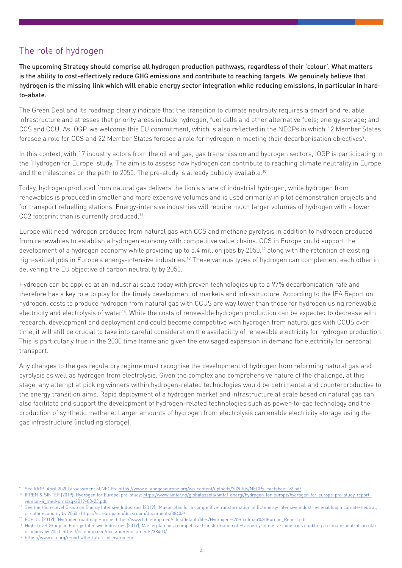#### The role of hydrogen

The upcoming Strategy should comprise all hydrogen production pathways, regardless of their 'colour'. What matters is the ability to cost-effectively reduce GHG emissions and contribute to reaching targets. We genuinely believe that hydrogen is the missing link which will enable energy sector integration while reducing emissions, in particular in hardto-abate.

The Green Deal and its roadmap clearly indicate that the transition to climate neutrality requires a smart and reliable infrastructure and stresses that priority areas include hydrogen, fuel cells and other alternative fuels; energy storage; and CCS and CCU. As IOGP, we welcome this EU commitment, which is also reflected in the NECPs in which 12 Member States foresee a role for CCS and 22 Member States foresee a role for hydrogen in meeting their decarbonisation objectives<sup>9</sup>.

In this context, with 17 industry actors from the oil and gas, gas transmission and hydrogen sectors, IOGP is participating in the 'Hydrogen for Europe' study. The aim is to assess how hydrogen can contribute to reaching climate neutrality in Europe and the milestones on the path to 2050. The pre-study is already publicly available.<sup>10</sup>

Today, hydrogen produced from natural gas delivers the lion's share of industrial hydrogen, while hydrogen from renewables is produced in smaller and more expensive volumes and is used primarily in pilot demonstration projects and for transport refuelling stations. Energy-intensive industries will require much larger volumes of hydrogen with a lower CO2 footprint than is currently produced.<sup>11</sup>

Europe will need hydrogen produced from natural gas with CCS and methane pyrolysis in addition to hydrogen produced from renewables to establish a hydrogen economy with competitive value chains. CCS in Europe could support the development of a hydrogen economy while providing up to 5.4 million jobs by 2050,<sup>12</sup> along with the retention of existing high-skilled jobs in Europe's energy-intensive industries.<sup>13</sup> These various types of hydrogen can complement each other in delivering the EU objective of carbon neutrality by 2050.

Hydrogen can be applied at an industrial scale today with proven technologies up to a 97% decarbonisation rate and therefore has a key role to play for the timely development of markets and infrastructure. According to the IEA Report on hydrogen, costs to produce hydrogen from natural gas with CCUS are way lower than those for hydrogen using renewable electricity and electrolysis of water14. While the costs of renewable hydrogen production can be expected to decrease with research, development and deployment and could become competitive with hydrogen from natural gas with CCUS over time, it will still be crucial to take into careful consideration the availability of renewable electricity for hydrogen production. This is particularly true in the 2030 time frame and given the envisaged expansion in demand for electricity for personal transport.

Any changes to the gas regulatory regime must recognise the development of hydrogen from reforming natural gas and pyrolysis as well as hydrogen from electrolysis. Given the complex and comprehensive nature of the challenge, at this stage, any attempt at picking winners within hydrogen-related technologies would be detrimental and counterproductive to the energy transition aims. Rapid deployment of a hydrogen market and infrastructure at scale based on natural gas can also facilitate and support the development of hydrogen-related technologies such as power-to-gas technology and the production of synthetic methane. Larger amounts of hydrogen from electrolysis can enable electricity storage using the gas infrastructure (including storage).

[https://www.iea.org/reports/the-future-of-hydrogen/.](https://www.iea.org/reports/the-future-of-hydrogen/)

See IOGP (April 2020) assessment of NECPs: <https://www.oilandgaseurope.org/wp-content/uploads/2020/04/NECPs-Factsheet-v2.pdf>.

<sup>10</sup> IFPEN & SINTEF (2019) 'Hydrogen for Europe' pre-study: [https://www.sintef.no/globalassets/sintef-energi/hydrogen-for-europe/hydrogen-for-europe-pre-study-report](https://www.sintef.no/globalassets/sintef-energi/hydrogen-for-europe/hydrogen-for-europe-pre-study-report-version-4_med-omslag-2019-08-23.pdf.)[version-4\\_med-omslag-2019-08-23.pdf.](https://www.sintef.no/globalassets/sintef-energi/hydrogen-for-europe/hydrogen-for-europe-pre-study-report-version-4_med-omslag-2019-08-23.pdf.)

<sup>11</sup> See the High-Level Group on Energy Intensive Industries (2019), 'Masterplan for a competitive transformation of EU energy intensive industries enabling a climate-neutral, circular economy by 2050':<https://ec.europa.eu/docsroom/documents/38403/>.

<sup>&</sup>lt;sup>12</sup> FCH JU (2019), 'Hydrogen roadmap Europe: [https://www.fch.europa.eu/sites/default/files/Hydrogen%20Roadmap%20Europe\\_Report.pdf.](https://www.fch.europa.eu/sites/default/files/Hydrogen%20Roadmap%20Europe_Report.pdf)

<sup>&</sup>lt;sup>13</sup> High-Level Group on Energy-Intensive Industries (2019), Masterplan for a competitive transformation of EU energy-intensive industries enabling a climate-neutral circular economy by 2050: <https://ec.europa.eu/docsroom/documents/38403/>.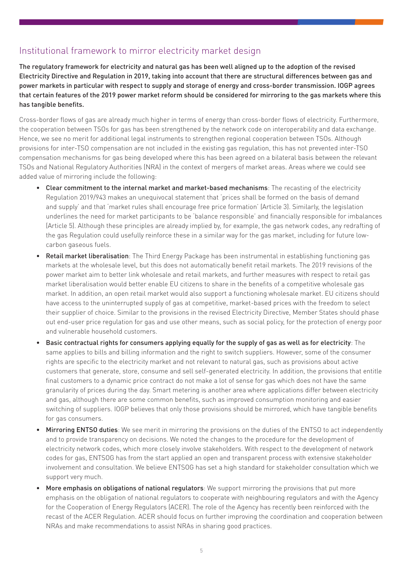#### Institutional framework to mirror electricity market design

The regulatory framework for electricity and natural gas has been well aligned up to the adoption of the revised Electricity Directive and Regulation in 2019, taking into account that there are structural differences between gas and power markets in particular with respect to supply and storage of energy and cross-border transmission. IOGP agrees that certain features of the 2019 power market reform should be considered for mirroring to the gas markets where this has tangible benefits.

Cross-border flows of gas are already much higher in terms of energy than cross-border flows of electricity. Furthermore, the cooperation between TSOs for gas has been strengthened by the network code on interoperability and data exchange. Hence, we see no merit for additional legal instruments to strengthen regional cooperation between TSOs. Although provisions for inter-TSO compensation are not included in the existing gas regulation, this has not prevented inter-TSO compensation mechanisms for gas being developed where this has been agreed on a bilateral basis between the relevant TSOs and National Regulatory Authorities (NRA) in the context of mergers of market areas. Areas where we could see added value of mirroring include the following:

- Clear commitment to the internal market and market-based mechanisms: The recasting of the electricity Regulation 2019/943 makes an unequivocal statement that 'prices shall be formed on the basis of demand and supply' and that 'market rules shall encourage free price formation' (Article 3). Similarly, the legislation underlines the need for market participants to be 'balance responsible' and financially responsible for imbalances (Article 5). Although these principles are already implied by, for example, the gas network codes, any redrafting of the gas Regulation could usefully reinforce these in a similar way for the gas market, including for future lowcarbon gaseous fuels.
- Retail market liberalisation: The Third Energy Package has been instrumental in establishing functioning gas markets at the wholesale level, but this does not automatically benefit retail markets. The 2019 revisions of the power market aim to better link wholesale and retail markets, and further measures with respect to retail gas market liberalisation would better enable EU citizens to share in the benefits of a competitive wholesale gas market. In addition, an open retail market would also support a functioning wholesale market. EU citizens should have access to the uninterrupted supply of gas at competitive, market-based prices with the freedom to select their supplier of choice. Similar to the provisions in the revised Electricity Directive, Member States should phase out end-user price regulation for gas and use other means, such as social policy, for the protection of energy poor and vulnerable household customers.
- Basic contractual rights for consumers applying equally for the supply of gas as well as for electricity: The same applies to bills and billing information and the right to switch suppliers. However, some of the consumer rights are specific to the electricity market and not relevant to natural gas, such as provisions about active customers that generate, store, consume and sell self-generated electricity. In addition, the provisions that entitle final customers to a dynamic price contract do not make a lot of sense for gas which does not have the same granularity of prices during the day. Smart metering is another area where applications differ between electricity and gas, although there are some common benefits, such as improved consumption monitoring and easier switching of suppliers. IOGP believes that only those provisions should be mirrored, which have tangible benefits for gas consumers.
- **Mirroring ENTSO duties:** We see merit in mirroring the provisions on the duties of the ENTSO to act independently and to provide transparency on decisions. We noted the changes to the procedure for the development of electricity network codes, which more closely involve stakeholders. With respect to the development of network codes for gas, ENTSOG has from the start applied an open and transparent process with extensive stakeholder involvement and consultation. We believe ENTSOG has set a high standard for stakeholder consultation which we support very much.
- More emphasis on obligations of national regulators: We support mirroring the provisions that put more emphasis on the obligation of national regulators to cooperate with neighbouring regulators and with the Agency for the Cooperation of Energy Regulators (ACER). The role of the Agency has recently been reinforced with the recast of the ACER Regulation. ACER should focus on further improving the coordination and cooperation between NRAs and make recommendations to assist NRAs in sharing good practices.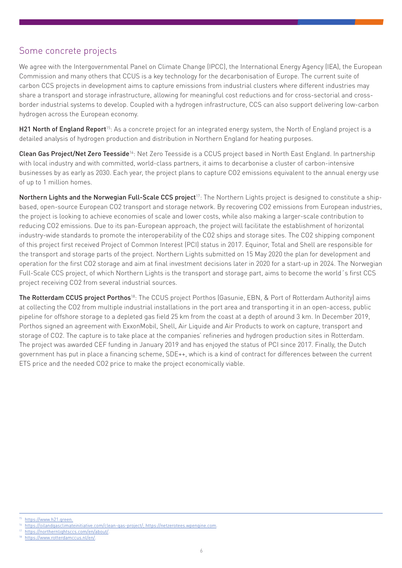#### Some concrete projects

We agree with the Intergovernmental Panel on Climate Change (IPCC), the International Energy Agency (IEA), the European Commission and many others that CCUS is a key technology for the decarbonisation of Europe. The current suite of carbon CCS projects in development aims to capture emissions from industrial clusters where different industries may share a transport and storage infrastructure, allowing for meaningful cost reductions and for cross-sectorial and crossborder industrial systems to develop. Coupled with a hydrogen infrastructure, CCS can also support delivering low-carbon hydrogen across the European economy.

H21 North of England Report<sup>15</sup>: As a concrete project for an integrated energy system, the North of England project is a detailed analysis of hydrogen production and distribution in Northern England for heating purposes.

Clean Gas Project/Net Zero Teesside<sup>16</sup>: Net Zero Teesside is a CCUS project based in North East England. In partnership with local industry and with committed, world-class partners, it aims to decarbonise a cluster of carbon-intensive businesses by as early as 2030. Each year, the project plans to capture CO2 emissions equivalent to the annual energy use of up to 1 million homes.

Northern Lights and the Norwegian Full-Scale CCS project<sup>17</sup>: The Northern Lights project is designed to constitute a shipbased, open-source European CO2 transport and storage network. By recovering CO2 emissions from European industries, the project is looking to achieve economies of scale and lower costs, while also making a larger-scale contribution to reducing CO2 emissions. Due to its pan-European approach, the project will facilitate the establishment of horizontal industry-wide standards to promote the interoperability of the CO2 ships and storage sites. The CO2 shipping component of this project first received Project of Common Interest (PCI) status in 2017. Equinor, Total and Shell are responsible for the transport and storage parts of the project. Northern Lights submitted on 15 May 2020 the plan for development and operation for the first CO2 storage and aim at final investment decisions later in 2020 for a start-up in 2024. The Norwegian Full-Scale CCS project, of which Northern Lights is the transport and storage part, aims to become the world´s first CCS project receiving CO2 from several industrial sources.

The Rotterdam CCUS project Porthos<sup>18</sup>: The CCUS project Porthos (Gasunie, EBN, & Port of Rotterdam Authority) aims at collecting the CO2 from multiple industrial installations in the port area and transporting it in an open-access, public pipeline for offshore storage to a depleted gas field 25 km from the coast at a depth of around 3 km. In December 2019, Porthos signed an agreement with ExxonMobil, Shell, Air Liquide and Air Products to work on capture, transport and storage of CO2. The capture is to take place at the companies' refineries and hydrogen production sites in Rotterdam. The project was awarded CEF funding in January 2019 and has enjoyed the status of PCI since 2017. Finally, the Dutch government has put in place a financing scheme, SDE++, which is a kind of contract for differences between the current ETS price and the needed CO2 price to make the project economically viable.

[https://northernlightsccs.com/en/about/.](https://northernlightsccs.com/en/about/)

<https://www.h21.green.>

<sup>16</sup> <https://oilandgasclimateinitiative.com/clean-gas-project/; https://netzerotees.wpengine.com>.

https://www.rotterdamccus.nl/en/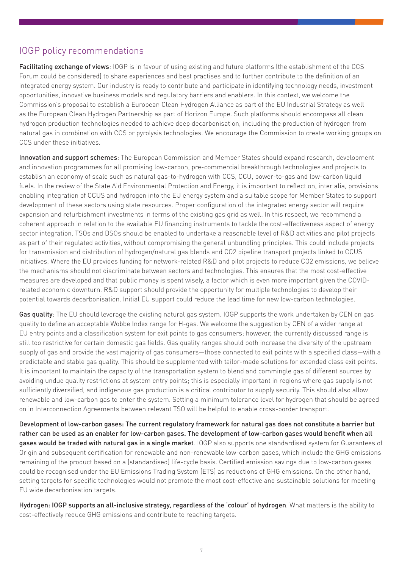#### IOGP policy recommendations

Facilitating exchange of views: IOGP is in favour of using existing and future platforms (the establishment of the CCS Forum could be considered) to share experiences and best practises and to further contribute to the definition of an integrated energy system. Our industry is ready to contribute and participate in identifying technology needs, investment opportunities, innovative business models and regulatory barriers and enablers. In this context, we welcome the Commission's proposal to establish a European Clean Hydrogen Alliance as part of the EU Industrial Strategy as well as the European Clean Hydrogen Partnership as part of Horizon Europe. Such platforms should encompass all clean hydrogen production technologies needed to achieve deep decarbonisation, including the production of hydrogen from natural gas in combination with CCS or pyrolysis technologies. We encourage the Commission to create working groups on CCS under these initiatives.

Innovation and support schemes: The European Commission and Member States should expand research, development and innovation programmes for all promising low-carbon, pre-commercial breakthrough technologies and projects to establish an economy of scale such as natural gas-to-hydrogen with CCS, CCU, power-to-gas and low-carbon liquid fuels. In the review of the State Aid Environmental Protection and Energy, it is important to reflect on, inter alia, provisions enabling integration of CCUS and hydrogen into the EU energy system and a suitable scope for Member States to support development of these sectors using state resources. Proper configuration of the integrated energy sector will require expansion and refurbishment investments in terms of the existing gas grid as well. In this respect, we recommend a coherent approach in relation to the available EU financing instruments to tackle the cost-effectiveness aspect of energy sector integration. TSOs and DSOs should be enabled to undertake a reasonable level of R&D activities and pilot projects as part of their regulated activities, without compromising the general unbundling principles. This could include projects for transmission and distribution of hydrogen/natural gas blends and CO2 pipeline transport projects linked to CCUS initiatives. Where the EU provides funding for network-related R&D and pilot projects to reduce CO2 emissions, we believe the mechanisms should not discriminate between sectors and technologies. This ensures that the most cost-effective measures are developed and that public money is spent wisely, a factor which is even more important given the COVIDrelated economic downturn. R&D support should provide the opportunity for multiple technologies to develop their potential towards decarbonisation. Initial EU support could reduce the lead time for new low-carbon technologies.

Gas quality: The EU should leverage the existing natural gas system. IOGP supports the work undertaken by CEN on gas quality to define an acceptable Wobbe Index range for H-gas. We welcome the suggestion by CEN of a wider range at EU entry points and a classification system for exit points to gas consumers; however, the currently discussed range is still too restrictive for certain domestic gas fields. Gas quality ranges should both increase the diversity of the upstream supply of gas and provide the vast majority of gas consumers—those connected to exit points with a specified class—with a predictable and stable gas quality. This should be supplemented with tailor-made solutions for extended class exit points. It is important to maintain the capacity of the transportation system to blend and commingle gas of different sources by avoiding undue quality restrictions at system entry points; this is especially important in regions where gas supply is not sufficiently diversified, and indigenous gas production is a critical contributor to supply security. This should also allow renewable and low-carbon gas to enter the system. Setting a minimum tolerance level for hydrogen that should be agreed on in Interconnection Agreements between relevant TSO will be helpful to enable cross-border transport.

Development of low-carbon gases: The current regulatory framework for natural gas does not constitute a barrier but rather can be used as an enabler for low-carbon gases. The development of low-carbon gases would benefit when all gases would be traded with natural gas in a single market. IOGP also supports one standardised system for Guarantees of Origin and subsequent certification for renewable and non-renewable low-carbon gases, which include the GHG emissions remaining of the product based on a (standardised) life-cycle basis. Certified emission savings due to low-carbon gases could be recognised under the EU Emissions Trading System (ETS) as reductions of GHG emissions. On the other hand, setting targets for specific technologies would not promote the most cost-effective and sustainable solutions for meeting EU wide decarbonisation targets.

Hydrogen: IOGP supports an all-inclusive strategy, regardless of the 'colour' of hydrogen. What matters is the ability to cost-effectively reduce GHG emissions and contribute to reaching targets.